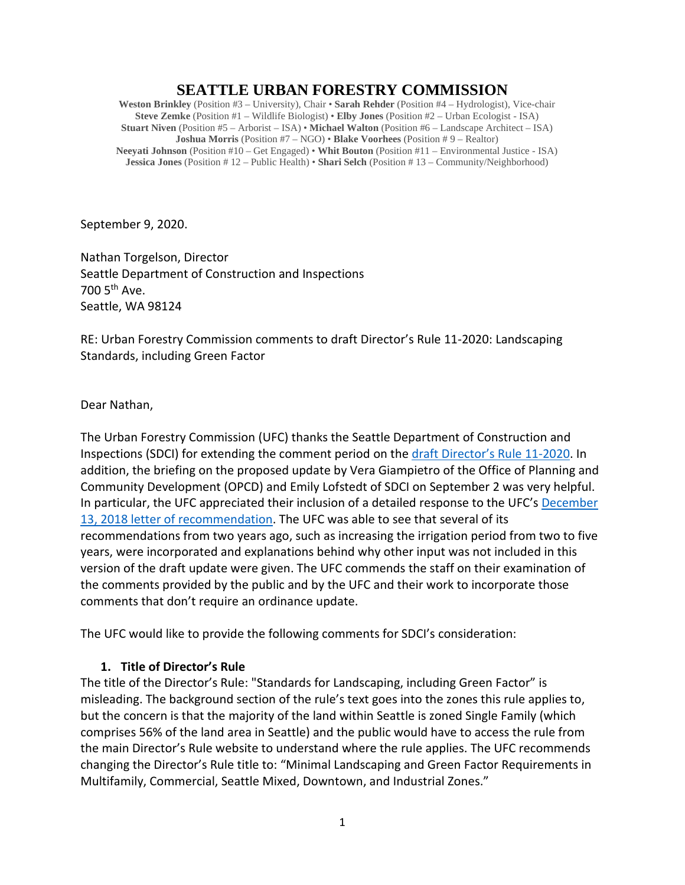# **SEATTLE URBAN FORESTRY COMMISSION**

**Weston Brinkley** (Position #3 – University), Chair • **Sarah Rehder** (Position #4 – Hydrologist), Vice-chair **Steve Zemke** (Position #1 – Wildlife Biologist) • **Elby Jones** (Position #2 – Urban Ecologist - ISA) **Stuart Niven** (Position #5 – Arborist – ISA) • **Michael Walton** (Position #6 – Landscape Architect – ISA) **Joshua Morris** (Position #7 – NGO) • **Blake Voorhees** (Position # 9 – Realtor) **Neeyati Johnson** (Position #10 – Get Engaged) • **Whit Bouton** (Position #11 – Environmental Justice - ISA) **Jessica Jones** (Position # 12 – Public Health) • **Shari Selch** (Position # 13 – Community/Neighborhood)

September 9, 2020.

Nathan Torgelson, Director Seattle Department of Construction and Inspections 700 5th Ave. Seattle, WA 98124

RE: Urban Forestry Commission comments to draft Director's Rule 11-2020: Landscaping Standards, including Green Factor

Dear Nathan,

The Urban Forestry Commission (UFC) thanks the Seattle Department of Construction and Inspections (SDCI) for extending the comment period on the [draft Director's Rule 11-2020.](http://www.seattle.gov/Documents/Departments/UrbanForestryCommission/2020/2020docs/7.30.2020DDR11-2020(0).pdf) In addition, the briefing on the proposed update by Vera Giampietro of the Office of Planning and Community Development (OPCD) and Emily Lofstedt of SDCI on September 2 was very helpful. In particular, the UFC appreciated their inclusion of a detailed response to the UFC's [December](http://www.seattle.gov/Documents/Departments/UrbanForestryCommission/FinalIssuedDocuments/Recommendations/ADOPTEDGreenFactorDRrecommendation121318.pdf)  13, 2018 letter [of recommendation.](http://www.seattle.gov/Documents/Departments/UrbanForestryCommission/FinalIssuedDocuments/Recommendations/ADOPTEDGreenFactorDRrecommendation121318.pdf) The UFC was able to see that several of its recommendations from two years ago, such as increasing the irrigation period from two to five years, were incorporated and explanations behind why other input was not included in this version of the draft update were given. The UFC commends the staff on their examination of the comments provided by the public and by the UFC and their work to incorporate those comments that don't require an ordinance update.

The UFC would like to provide the following comments for SDCI's consideration:

#### **1. Title of Director's Rule**

The title of the Director's Rule: "Standards for Landscaping, including Green Factor" is misleading. The background section of the rule's text goes into the zones this rule applies to, but the concern is that the majority of the land within Seattle is zoned Single Family (which comprises 56% of the land area in Seattle) and the public would have to access the rule from the main Director's Rule website to understand where the rule applies. The UFC recommends changing the Director's Rule title to: "Minimal Landscaping and Green Factor Requirements in Multifamily, Commercial, Seattle Mixed, Downtown, and Industrial Zones."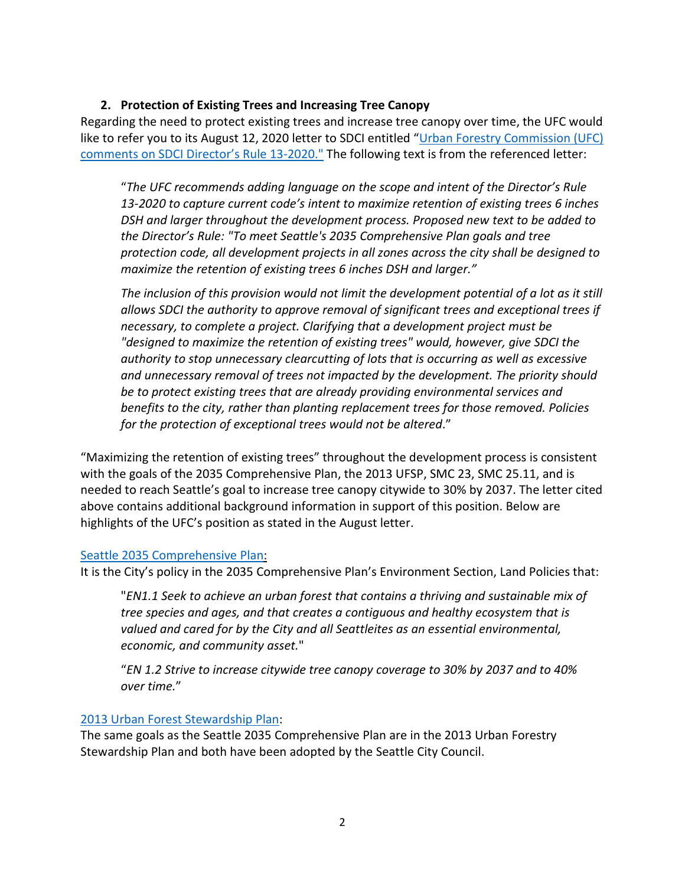### **2. Protection of Existing Trees and Increasing Tree Canopy**

Regarding the need to protect existing trees and increase tree canopy over time, the UFC would like to refer you to its August 12, 2020 letter to SDCI entitled ["Urban Forestry Commission \(UFC\)](http://www.seattle.gov/Documents/Departments/UrbanForestryCommission/FinalIssuedDocuments/WhatWeDo-Recomms/ADOPTED-DR13-2020letter081220.pdf)  [comments on SDCI Director's Rule 13-2020."](http://www.seattle.gov/Documents/Departments/UrbanForestryCommission/FinalIssuedDocuments/WhatWeDo-Recomms/ADOPTED-DR13-2020letter081220.pdf) The following text is from the referenced letter:

"*The UFC recommends adding language on the scope and intent of the Director's Rule 13-2020 to capture current code's intent to maximize retention of existing trees 6 inches DSH and larger throughout the development process. Proposed new text to be added to the Director's Rule: "To meet Seattle's 2035 Comprehensive Plan goals and tree protection code, all development projects in all zones across the city shall be designed to maximize the retention of existing trees 6 inches DSH and larger."*

*The inclusion of this provision would not limit the development potential of a lot as it still allows SDCI the authority to approve removal of significant trees and exceptional trees if necessary, to complete a project. Clarifying that a development project must be "designed to maximize the retention of existing trees" would, however, give SDCI the authority to stop unnecessary clearcutting of lots that is occurring as well as excessive and unnecessary removal of trees not impacted by the development. The priority should be to protect existing trees that are already providing environmental services and benefits to the city, rather than planting replacement trees for those removed. Policies for the protection of exceptional trees would not be altered*."

"Maximizing the retention of existing trees" throughout the development process is consistent with the goals of the 2035 Comprehensive Plan, the 2013 UFSP, SMC 23, SMC 25.11, and is needed to reach Seattle's goal to increase tree canopy citywide to 30% by 2037. The letter cited above contains additional background information in support of this position. Below are highlights of the UFC's position as stated in the August letter.

#### [Seattle 2035 Comprehensive Plan:](http://www.seattle.gov/Documents/Departments/OPCD/OngoingInitiatives/SeattlesComprehensivePlan/CouncilAdopted2019.pdf)

It is the City's policy in the 2035 Comprehensive Plan's Environment Section, Land Policies that:

"*EN1.1 Seek to achieve an urban forest that contains a thriving and sustainable mix of tree species and ages, and that creates a contiguous and healthy ecosystem that is valued and cared for by the City and all Seattleites as an essential environmental, economic, and community asset.*"

"*EN 1.2 Strive to increase citywide tree canopy coverage to 30% by 2037 and to 40% over time.*"

#### [2013 Urban Forest Stewardship Plan:](https://www.seattle.gov/Documents/Departments/Trees/Mangement/2013_Urban_Forest_Stewardship_Plan.pdf)

The same goals as the Seattle 2035 Comprehensive Plan are in the 2013 Urban Forestry Stewardship Plan and both have been adopted by the Seattle City Council.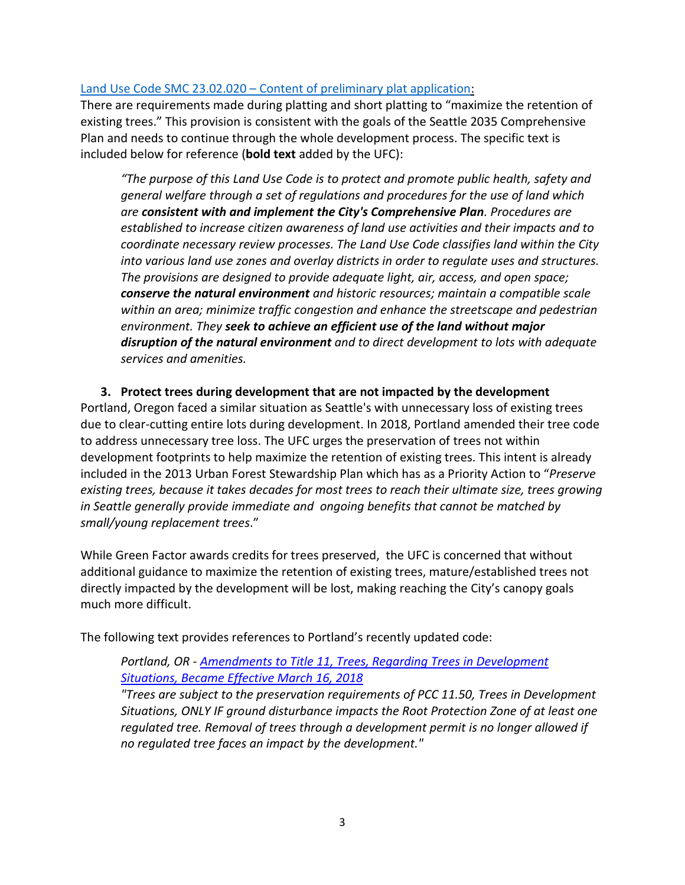### Land Use Code SMC 23.02.020 – [Content of preliminary plat application:](https://library.municode.com/wa/seattle/codes/municipal_code?nodeId=TIT23LAUSCO_SUBTITLE_IIPLRE_CH23.22SU_SUBCHAPTER_IPRPLPR_23.22.020COPRPLAP)

There are requirements made during platting and short platting to "maximize the retention of existing trees." This provision is consistent with the goals of the Seattle 2035 Comprehensive Plan and needs to continue through the whole development process. The specific text is included below for reference (**bold text** added by the UFC):

*"The purpose of this Land Use Code is to protect and promote public health, safety and general welfare through a set of regulations and procedures for the use of land which are consistent with and implement the City's Comprehensive Plan. Procedures are established to increase citizen awareness of land use activities and their impacts and to coordinate necessary review processes. The Land Use Code classifies land within the City into various land use zones and overlay districts in order to regulate uses and structures. The provisions are designed to provide adequate light, air, access, and open space; conserve the natural environment and historic resources; maintain a compatible scale within an area; minimize traffic congestion and enhance the streetscape and pedestrian environment. They seek to achieve an efficient use of the land without major disruption of the natural environment and to direct development to lots with adequate services and amenities.* 

# **3. Protect trees during development that are not impacted by the development**

Portland, Oregon faced a similar situation as Seattle's with unnecessary loss of existing trees due to clear-cutting entire lots during development. In 2018, Portland amended their tree code to address unnecessary tree loss. The UFC urges the preservation of trees not within development footprints to help maximize the retention of existing trees. This intent is already included in the 2013 Urban Forest Stewardship Plan which has as a Priority Action to "*Preserve existing trees, because it takes decades for most trees to reach their ultimate size, trees growing in Seattle generally provide immediate and ongoing benefits that cannot be matched by small/young replacement trees*."

While Green Factor awards credits for trees preserved, the UFC is concerned that without additional guidance to maximize the retention of existing trees, mature/established trees not directly impacted by the development will be lost, making reaching the City's canopy goals much more difficult.

The following text provides references to Portland's recently updated code:

### *Portland, OR - [Amendments to Title 11, Trees, Regarding Trees in Development](https://nam10.safelinks.protection.outlook.com/?url=https%3A%2F%2Fwww.portlandoregon.gov%2Ftrees%2Farticle%2F675713&data=02%7C01%7C%7Ca5d1b0c8087b4be6d49308d84f54729c%7C84df9e7fe9f640afb435aaaaaaaaaaaa%7C1%7C0%7C637346571399160731&sdata=EztLqjDh9MvJFNqnJ5j1OCzjlj%2F7pSUt5CrL1UwTY%2BQ%3D&reserved=0)  [Situations, Became Effective March 16, 2018](https://nam10.safelinks.protection.outlook.com/?url=https%3A%2F%2Fwww.portlandoregon.gov%2Ftrees%2Farticle%2F675713&data=02%7C01%7C%7Ca5d1b0c8087b4be6d49308d84f54729c%7C84df9e7fe9f640afb435aaaaaaaaaaaa%7C1%7C0%7C637346571399160731&sdata=EztLqjDh9MvJFNqnJ5j1OCzjlj%2F7pSUt5CrL1UwTY%2BQ%3D&reserved=0)*

*"Trees are subject to the preservation requirements of PCC 11.50, Trees in Development Situations, ONLY IF ground disturbance impacts the Root Protection Zone of at least one regulated tree. Removal of trees through a development permit is no longer allowed if no regulated tree faces an impact by the development."*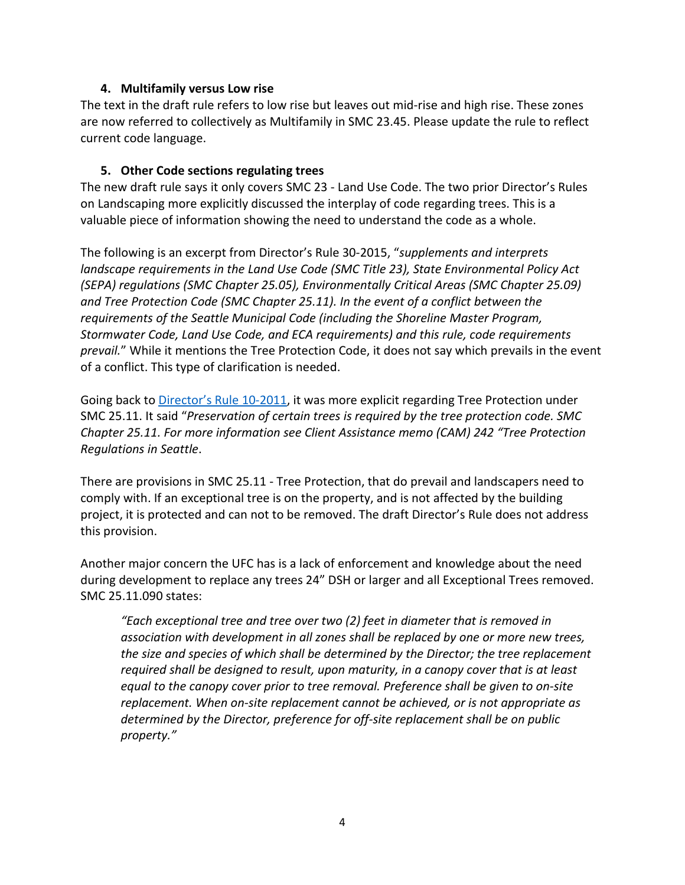### **4. Multifamily versus Low rise**

The text in the draft rule refers to low rise but leaves out mid-rise and high rise. These zones are now referred to collectively as Multifamily in SMC 23.45. Please update the rule to reflect current code language.

### **5. Other Code sections regulating trees**

The new draft rule says it only covers SMC 23 - Land Use Code. The two prior Director's Rules on Landscaping more explicitly discussed the interplay of code regarding trees. This is a valuable piece of information showing the need to understand the code as a whole.

The following is an excerpt from Director's Rule 30-2015, "*supplements and interprets landscape requirements in the Land Use Code (SMC Title 23), State Environmental Policy Act (SEPA) regulations (SMC Chapter 25.05), Environmentally Critical Areas (SMC Chapter 25.09) and Tree Protection Code (SMC Chapter 25.11). In the event of a conflict between the requirements of the Seattle Municipal Code (including the Shoreline Master Program, Stormwater Code, Land Use Code, and ECA requirements) and this rule, code requirements prevail.*" While it mentions the Tree Protection Code, it does not say which prevails in the event of a conflict. This type of clarification is needed.

Going back t[o Director's Rule 10-2011,](https://www.seattle.gov/Documents/Departments/UrbanForestryCommission/2013/2013docs/DR2011_10.pdf) it was more explicit regarding Tree Protection under SMC 25.11. It said "*Preservation of certain trees is required by the tree protection code. SMC Chapter 25.11. For more information see Client Assistance memo (CAM) 242 "Tree Protection Regulations in Seattle*.

There are provisions in SMC 25.11 - Tree Protection, that do prevail and landscapers need to comply with. If an exceptional tree is on the property, and is not affected by the building project, it is protected and can not to be removed. The draft Director's Rule does not address this provision.

Another major concern the UFC has is a lack of enforcement and knowledge about the need during development to replace any trees 24" DSH or larger and all Exceptional Trees removed. SMC 25.11.090 states:

*"Each exceptional tree and tree over two (2) feet in diameter that is removed in association with development in all zones shall be replaced by one or more new trees, the size and species of which shall be determined by the Director; the tree replacement required shall be designed to result, upon maturity, in a canopy cover that is at least equal to the canopy cover prior to tree removal. Preference shall be given to on-site replacement. When on-site replacement cannot be achieved, or is not appropriate as determined by the Director, preference for off-site replacement shall be on public property."*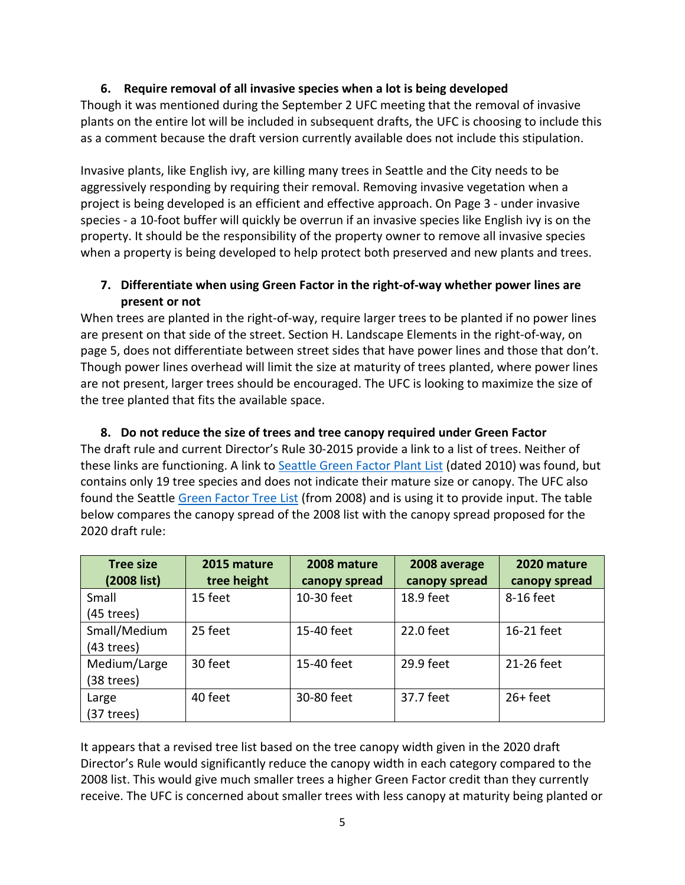### **6. Require removal of all invasive species when a lot is being developed**

Though it was mentioned during the September 2 UFC meeting that the removal of invasive plants on the entire lot will be included in subsequent drafts, the UFC is choosing to include this as a comment because the draft version currently available does not include this stipulation.

Invasive plants, like English ivy, are killing many trees in Seattle and the City needs to be aggressively responding by requiring their removal. Removing invasive vegetation when a project is being developed is an efficient and effective approach. On Page 3 - under invasive species - a 10-foot buffer will quickly be overrun if an invasive species like English ivy is on the property. It should be the responsibility of the property owner to remove all invasive species when a property is being developed to help protect both preserved and new plants and trees.

# **7. Differentiate when using Green Factor in the right-of-way whether power lines are present or not**

When trees are planted in the right-of-way, require larger trees to be planted if no power lines are present on that side of the street. Section H. Landscape Elements in the right-of-way, on page 5, does not differentiate between street sides that have power lines and those that don't. Though power lines overhead will limit the size at maturity of trees planted, where power lines are not present, larger trees should be encouraged. The UFC is looking to maximize the size of the tree planted that fits the available space.

# **8. Do not reduce the size of trees and tree canopy required under Green Factor**

The draft rule and current Director's Rule 30-2015 provide a link to a list of trees. Neither of these links are functioning. A link to [Seattle Green Factor Plant List](http://www.seattle.gov/Documents/Departments/SDOT/PublicSpaceManagement/SeattleGreenFactorPlantList.pdf#:%7E:text=Seattle%20Green%20Factor%20Plant%20List%20Scientific%20Name%20Common,Ceratostigma%20plumbaginoides%20hardy%20plumbago%20Daboecia%20cantabrica%20Irish%20heath) (dated 2010) was found, but contains only 19 tree species and does not indicate their mature size or canopy. The UFC also found the Seattle [Green Factor Tree List](http://www.seattle.gov/Documents/Departments/SDCI/Codes/GreenFactorTreeList2008.pdf) (from 2008) and is using it to provide input. The table below compares the canopy spread of the 2008 list with the canopy spread proposed for the 2020 draft rule:

| <b>Tree size</b> | 2015 mature | 2008 mature   | 2008 average  | 2020 mature   |
|------------------|-------------|---------------|---------------|---------------|
| (2008 list)      | tree height | canopy spread | canopy spread | canopy spread |
| Small            | 15 feet     | 10-30 feet    | 18.9 feet     | 8-16 feet     |
| (45 trees)       |             |               |               |               |
| Small/Medium     | 25 feet     | 15-40 feet    | 22.0 feet     | 16-21 feet    |
| $(43$ trees)     |             |               |               |               |
| Medium/Large     | 30 feet     | 15-40 feet    | 29.9 feet     | 21-26 feet    |
| $(38$ trees)     |             |               |               |               |
| Large            | 40 feet     | 30-80 feet    | 37.7 feet     | $26 + feet$   |
| (37 trees)       |             |               |               |               |

It appears that a revised tree list based on the tree canopy width given in the 2020 draft Director's Rule would significantly reduce the canopy width in each category compared to the 2008 list. This would give much smaller trees a higher Green Factor credit than they currently receive. The UFC is concerned about smaller trees with less canopy at maturity being planted or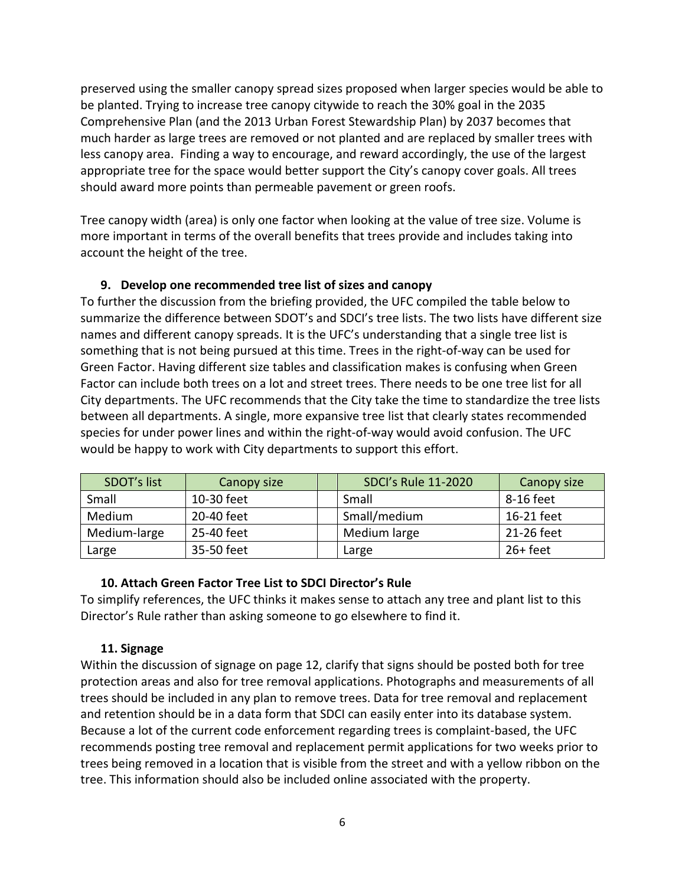preserved using the smaller canopy spread sizes proposed when larger species would be able to be planted. Trying to increase tree canopy citywide to reach the 30% goal in the 2035 Comprehensive Plan (and the 2013 Urban Forest Stewardship Plan) by 2037 becomes that much harder as large trees are removed or not planted and are replaced by smaller trees with less canopy area. Finding a way to encourage, and reward accordingly, the use of the largest appropriate tree for the space would better support the City's canopy cover goals. All trees should award more points than permeable pavement or green roofs.

Tree canopy width (area) is only one factor when looking at the value of tree size. Volume is more important in terms of the overall benefits that trees provide and includes taking into account the height of the tree.

### **9. Develop one recommended tree list of sizes and canopy**

To further the discussion from the briefing provided, the UFC compiled the table below to summarize the difference between SDOT's and SDCI's tree lists. The two lists have different size names and different canopy spreads. It is the UFC's understanding that a single tree list is something that is not being pursued at this time. Trees in the right-of-way can be used for Green Factor. Having different size tables and classification makes is confusing when Green Factor can include both trees on a lot and street trees. There needs to be one tree list for all City departments. The UFC recommends that the City take the time to standardize the tree lists between all departments. A single, more expansive tree list that clearly states recommended species for under power lines and within the right-of-way would avoid confusion. The UFC would be happy to work with City departments to support this effort.

| SDOT's list  | <b>Canopy size</b> | <b>SDCI's Rule 11-2020</b> | Canopy size |
|--------------|--------------------|----------------------------|-------------|
| Small        | 10-30 feet         | Small                      | 8-16 feet   |
| Medium       | 20-40 feet         | Small/medium               | 16-21 feet  |
| Medium-large | 25-40 feet         | Medium large               | 21-26 feet  |
| Large        | 35-50 feet         | Large                      | $26 + feet$ |

### **10. Attach Green Factor Tree List to SDCI Director's Rule**

To simplify references, the UFC thinks it makes sense to attach any tree and plant list to this Director's Rule rather than asking someone to go elsewhere to find it.

### **11. Signage**

Within the discussion of signage on page 12, clarify that signs should be posted both for tree protection areas and also for tree removal applications. Photographs and measurements of all trees should be included in any plan to remove trees. Data for tree removal and replacement and retention should be in a data form that SDCI can easily enter into its database system. Because a lot of the current code enforcement regarding trees is complaint-based, the UFC recommends posting tree removal and replacement permit applications for two weeks prior to trees being removed in a location that is visible from the street and with a yellow ribbon on the tree. This information should also be included online associated with the property.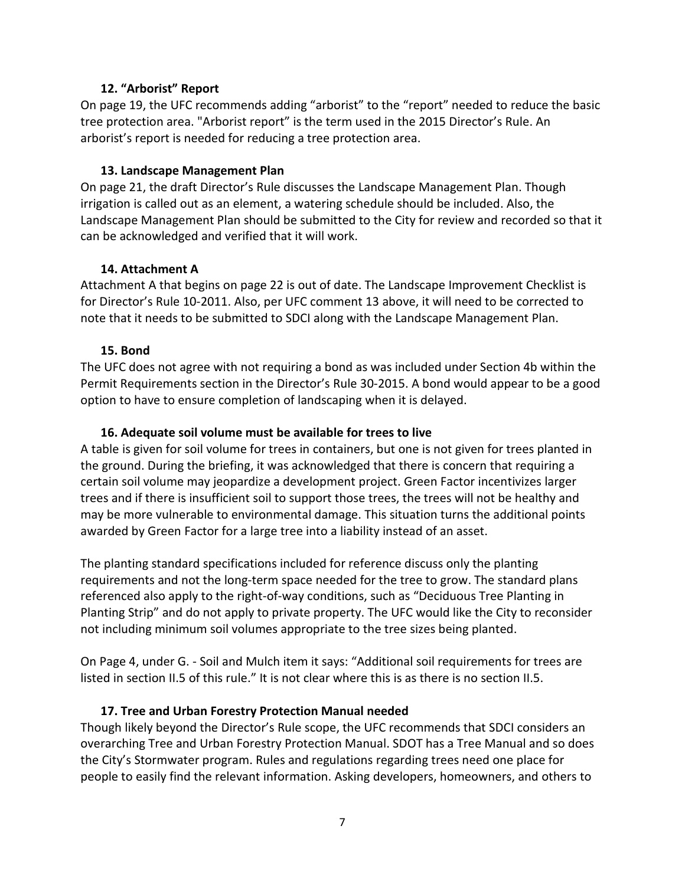#### **12. "Arborist" Report**

On page 19, the UFC recommends adding "arborist" to the "report" needed to reduce the basic tree protection area. "Arborist report" is the term used in the 2015 Director's Rule. An arborist's report is needed for reducing a tree protection area.

#### **13. Landscape Management Plan**

On page 21, the draft Director's Rule discusses the Landscape Management Plan. Though irrigation is called out as an element, a watering schedule should be included. Also, the Landscape Management Plan should be submitted to the City for review and recorded so that it can be acknowledged and verified that it will work.

#### **14. Attachment A**

Attachment A that begins on page 22 is out of date. The Landscape Improvement Checklist is for Director's Rule 10-2011. Also, per UFC comment 13 above, it will need to be corrected to note that it needs to be submitted to SDCI along with the Landscape Management Plan.

#### **15. Bond**

The UFC does not agree with not requiring a bond as was included under Section 4b within the Permit Requirements section in the Director's Rule 30-2015. A bond would appear to be a good option to have to ensure completion of landscaping when it is delayed.

#### **16. Adequate soil volume must be available for trees to live**

A table is given for soil volume for trees in containers, but one is not given for trees planted in the ground. During the briefing, it was acknowledged that there is concern that requiring a certain soil volume may jeopardize a development project. Green Factor incentivizes larger trees and if there is insufficient soil to support those trees, the trees will not be healthy and may be more vulnerable to environmental damage. This situation turns the additional points awarded by Green Factor for a large tree into a liability instead of an asset.

The planting standard specifications included for reference discuss only the planting requirements and not the long-term space needed for the tree to grow. The standard plans referenced also apply to the right-of-way conditions, such as "Deciduous Tree Planting in Planting Strip" and do not apply to private property. The UFC would like the City to reconsider not including minimum soil volumes appropriate to the tree sizes being planted.

On Page 4, under G. - Soil and Mulch item it says: "Additional soil requirements for trees are listed in section II.5 of this rule." It is not clear where this is as there is no section II.5.

#### **17. Tree and Urban Forestry Protection Manual needed**

Though likely beyond the Director's Rule scope, the UFC recommends that SDCI considers an overarching Tree and Urban Forestry Protection Manual. SDOT has a Tree Manual and so does the City's Stormwater program. Rules and regulations regarding trees need one place for people to easily find the relevant information. Asking developers, homeowners, and others to